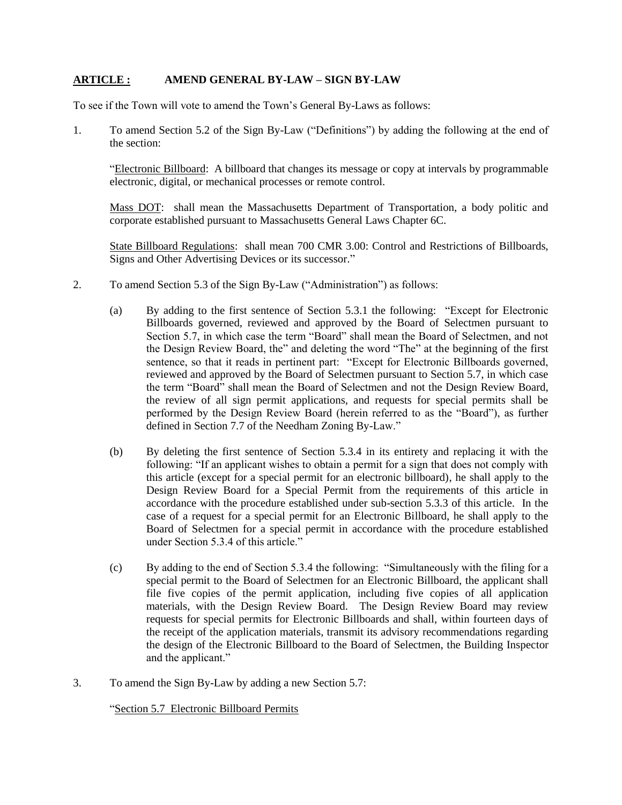## **ARTICLE : AMEND GENERAL BY-LAW – SIGN BY-LAW**

To see if the Town will vote to amend the Town's General By-Laws as follows:

1. To amend Section 5.2 of the Sign By-Law ("Definitions") by adding the following at the end of the section:

"Electronic Billboard: A billboard that changes its message or copy at intervals by programmable electronic, digital, or mechanical processes or remote control.

Mass DOT: shall mean the Massachusetts Department of Transportation, a body politic and corporate established pursuant to Massachusetts General Laws Chapter 6C.

State Billboard Regulations: shall mean 700 CMR 3.00: Control and Restrictions of Billboards, Signs and Other Advertising Devices or its successor."

- 2. To amend Section 5.3 of the Sign By-Law ("Administration") as follows:
	- (a) By adding to the first sentence of Section 5.3.1 the following: "Except for Electronic Billboards governed, reviewed and approved by the Board of Selectmen pursuant to Section 5.7, in which case the term "Board" shall mean the Board of Selectmen, and not the Design Review Board, the" and deleting the word "The" at the beginning of the first sentence, so that it reads in pertinent part: "Except for Electronic Billboards governed, reviewed and approved by the Board of Selectmen pursuant to Section 5.7, in which case the term "Board" shall mean the Board of Selectmen and not the Design Review Board, the review of all sign permit applications, and requests for special permits shall be performed by the Design Review Board (herein referred to as the "Board"), as further defined in Section 7.7 of the Needham Zoning By-Law."
	- (b) By deleting the first sentence of Section 5.3.4 in its entirety and replacing it with the following: "If an applicant wishes to obtain a permit for a sign that does not comply with this article (except for a special permit for an electronic billboard), he shall apply to the Design Review Board for a Special Permit from the requirements of this article in accordance with the procedure established under sub-section 5.3.3 of this article. In the case of a request for a special permit for an Electronic Billboard, he shall apply to the Board of Selectmen for a special permit in accordance with the procedure established under Section 5.3.4 of this article."
	- (c) By adding to the end of Section 5.3.4 the following: "Simultaneously with the filing for a special permit to the Board of Selectmen for an Electronic Billboard, the applicant shall file five copies of the permit application, including five copies of all application materials, with the Design Review Board. The Design Review Board may review requests for special permits for Electronic Billboards and shall, within fourteen days of the receipt of the application materials, transmit its advisory recommendations regarding the design of the Electronic Billboard to the Board of Selectmen, the Building Inspector and the applicant."
- 3. To amend the Sign By-Law by adding a new Section 5.7:

"Section 5.7 Electronic Billboard Permits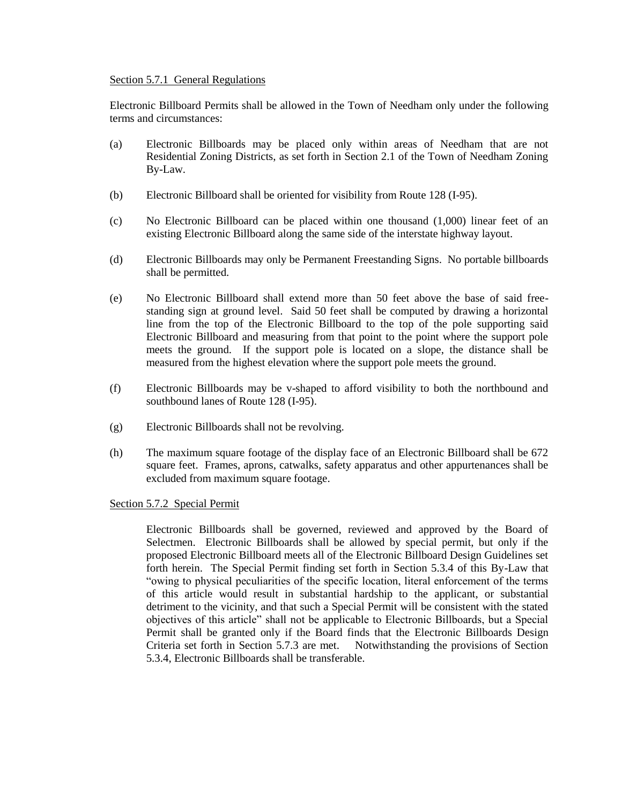#### Section 5.7.1 General Regulations

Electronic Billboard Permits shall be allowed in the Town of Needham only under the following terms and circumstances:

- (a) Electronic Billboards may be placed only within areas of Needham that are not Residential Zoning Districts, as set forth in Section 2.1 of the Town of Needham Zoning By-Law.
- (b) Electronic Billboard shall be oriented for visibility from Route 128 (I-95).
- (c) No Electronic Billboard can be placed within one thousand (1,000) linear feet of an existing Electronic Billboard along the same side of the interstate highway layout.
- (d) Electronic Billboards may only be Permanent Freestanding Signs. No portable billboards shall be permitted.
- (e) No Electronic Billboard shall extend more than 50 feet above the base of said freestanding sign at ground level. Said 50 feet shall be computed by drawing a horizontal line from the top of the Electronic Billboard to the top of the pole supporting said Electronic Billboard and measuring from that point to the point where the support pole meets the ground. If the support pole is located on a slope, the distance shall be measured from the highest elevation where the support pole meets the ground.
- (f) Electronic Billboards may be v-shaped to afford visibility to both the northbound and southbound lanes of Route 128 (I-95).
- (g) Electronic Billboards shall not be revolving.
- (h) The maximum square footage of the display face of an Electronic Billboard shall be 672 square feet. Frames, aprons, catwalks, safety apparatus and other appurtenances shall be excluded from maximum square footage.

Section 5.7.2 Special Permit

Electronic Billboards shall be governed, reviewed and approved by the Board of Selectmen. Electronic Billboards shall be allowed by special permit, but only if the proposed Electronic Billboard meets all of the Electronic Billboard Design Guidelines set forth herein. The Special Permit finding set forth in Section 5.3.4 of this By-Law that "owing to physical peculiarities of the specific location, literal enforcement of the terms of this article would result in substantial hardship to the applicant, or substantial detriment to the vicinity, and that such a Special Permit will be consistent with the stated objectives of this article" shall not be applicable to Electronic Billboards, but a Special Permit shall be granted only if the Board finds that the Electronic Billboards Design Criteria set forth in Section 5.7.3 are met. Notwithstanding the provisions of Section 5.3.4, Electronic Billboards shall be transferable.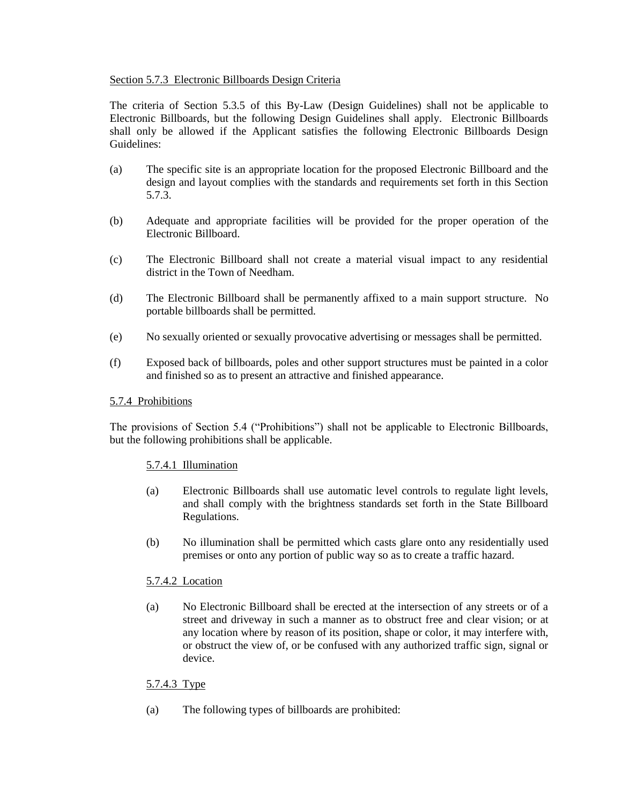## Section 5.7.3 Electronic Billboards Design Criteria

The criteria of Section 5.3.5 of this By-Law (Design Guidelines) shall not be applicable to Electronic Billboards, but the following Design Guidelines shall apply. Electronic Billboards shall only be allowed if the Applicant satisfies the following Electronic Billboards Design Guidelines:

- (a) The specific site is an appropriate location for the proposed Electronic Billboard and the design and layout complies with the standards and requirements set forth in this Section 5.7.3.
- (b) Adequate and appropriate facilities will be provided for the proper operation of the Electronic Billboard.
- (c) The Electronic Billboard shall not create a material visual impact to any residential district in the Town of Needham.
- (d) The Electronic Billboard shall be permanently affixed to a main support structure. No portable billboards shall be permitted.
- (e) No sexually oriented or sexually provocative advertising or messages shall be permitted.
- (f) Exposed back of billboards, poles and other support structures must be painted in a color and finished so as to present an attractive and finished appearance.

## 5.7.4 Prohibitions

The provisions of Section 5.4 ("Prohibitions") shall not be applicable to Electronic Billboards, but the following prohibitions shall be applicable.

## 5.7.4.1 Illumination

- (a) Electronic Billboards shall use automatic level controls to regulate light levels, and shall comply with the brightness standards set forth in the State Billboard Regulations.
- (b) No illumination shall be permitted which casts glare onto any residentially used premises or onto any portion of public way so as to create a traffic hazard.

# 5.7.4.2 Location

(a) No Electronic Billboard shall be erected at the intersection of any streets or of a street and driveway in such a manner as to obstruct free and clear vision; or at any location where by reason of its position, shape or color, it may interfere with, or obstruct the view of, or be confused with any authorized traffic sign, signal or device.

# 5.7.4.3 Type

(a) The following types of billboards are prohibited: